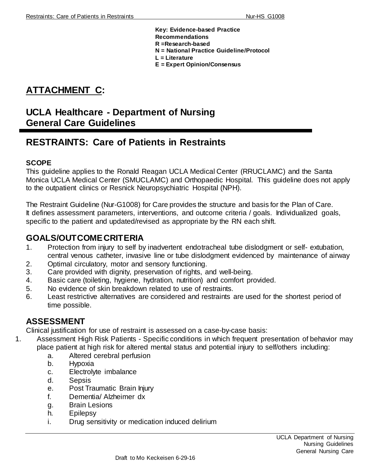**Key: Evidence-based Practice Recommendations R =Research-based N = National Practice Guideline/Protocol L = Literature**

**E = Expert Opinion/Consensus**

# **ATTACHMENT C:**

# **UCLA Healthcare - Department of Nursing General Care Guidelines**

# **RESTRAINTS: Care of Patients in Restraints**

#### **SCOPE**

This guideline applies to the Ronald Reagan UCLA Medical Center (RRUCLAMC) and the Santa Monica UCLA Medical Center (SMUCLAMC) and Orthopaedic Hospital. This guideline does not apply to the outpatient clinics or Resnick Neuropsychiatric Hospital (NPH).

The Restraint Guideline (Nur-G1008) for Care provides the structure and basis for the Plan of Care. It defines assessment parameters, interventions, and outcome criteria / goals. Individualized goals, specific to the patient and updated/revised as appropriate by the RN each shift.

## **GOALS/OUTCOME CRITERIA**

- 1. Protection from injury to self by inadvertent endotracheal tube dislodgment or self- extubation, central venous catheter, invasive line or tube dislodgment evidenced by maintenance of airway
- 2. Optimal circulatory, motor and sensory functioning.
- 3. Care provided with dignity, preservation of rights, and well-being.
- 4. Basic care (toileting, hygiene, hydration, nutrition) and comfort provided.
- 5. No evidence of skin breakdown related to use of restraints.
- 6. Least restrictive alternatives are considered and restraints are used for the shortest period of time possible.

## **ASSESSMENT**

Clinical justification for use of restraint is assessed on a case-by-case basis:

- 1. Assessment High Risk Patients Specific conditions in which frequent presentation of behavior may place patient at high risk for altered mental status and potential injury to self/others including:
	- a. Altered cerebral perfusion
	- b. Hypoxia
	- c. Electrolyte imbalance
	- d. Sepsis
	- e. Post Traumatic Brain Injury
	- f. Dementia/ Alzheimer dx
	- g. Brain Lesions
	- h. Epilepsy
	- i. Drug sensitivity or medication induced delirium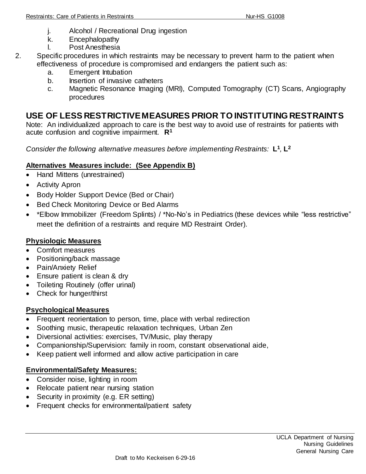- j. Alcohol / Recreational Drug ingestion
- k. Encephalopathy
- l. Post Anesthesia
- 2. Specific procedures in which restraints may be necessary to prevent harm to the patient when effectiveness of procedure is compromised and endangers the patient such as:
	- a. Emergent Intubation
	- b. Insertion of invasive catheters
	- c. Magnetic Resonance Imaging (MRI), Computed Tomography (CT) Scans, Angiography procedures

# **USE OF LESS RESTRICTIVE MEASURES PRIOR TO INSTITUTING RESTRAINTS**

Note: An individualized approach to care is the best way to avoid use of restraints for patients with acute confusion and cognitive impairment. **R<sup>1</sup>**

*Consider the following alternative measures before implementing Restraints:* **L 1** *,* **L 2**

## **Alternatives Measures include: (See Appendix B)**

- Hand Mittens (unrestrained)
- Activity Apron
- Body Holder Support Device (Bed or Chair)
- Bed Check Monitoring Device or Bed Alarms
- \*Elbow Immobilizer (Freedom Splints) / \*No-No's in Pediatrics (these devices while "less restrictive" meet the definition of a restraints and require MD Restraint Order).

## **Physiologic Measures**

- Comfort measures
- Positioning/back massage
- Pain/Anxiety Relief
- Ensure patient is clean & dry
- Toileting Routinely (offer urinal)
- Check for hunger/thirst

#### **Psychological Measures**

- Frequent reorientation to person, time, place with verbal redirection
- Soothing music, therapeutic relaxation techniques, Urban Zen
- Diversional activities: exercises, TV/Music, play therapy
- Companionship/Supervision: family in room, constant observational aide,
- Keep patient well informed and allow active participation in care

#### **Environmental/Safety Measures:**

- Consider noise, lighting in room
- Relocate patient near nursing station
- Security in proximity (e.g. ER setting)
- Frequent checks for environmental/patient safety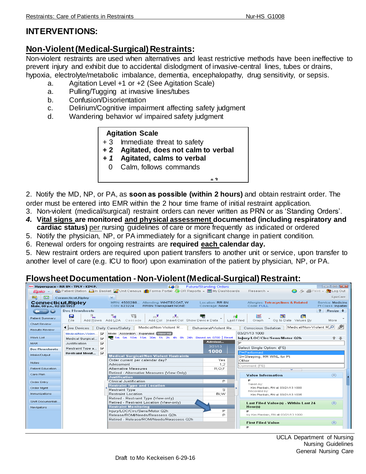## **INTERVENTIONS:**

# **Non-Violent (Medical-Surgical)Restraints:**

Non-violent restraints are used when alternatives and least restrictive methods have been ineffective to prevent injury and exhibit due to accidental dislodgment of invasive-central lines, tubes or drains, hypoxia, electrolyte/metabolic imbalance, dementia, encephalopathy, drug sensitivity, or sepsis.

- a. Agitation Level +1 or +2 (See Agitation Scale)
- a. Pulling/Tugging at invasive lines/tubes
- b. Confusion/Disorientation
- c. Delirium/Cognitive impairment affecting safety judgment
- d. Wandering behavior w/ impaired safety judgment

#### **Agitation Scale**

- + 3 Immediate threat to safety
- **+ 2 Agitated, does not calm to verbal**
- *+ 1* **Agitated, calms to verbal**
	- 0 Calm, follows commands

2. Notify the MD, NP, or PA, as **soon as possible (within 2 hours)** and obtain restraint order. The order must be entered into EMR within the 2 hour time frame of initial restraint application.  $\cdot$  =  $\cdot$   $\cdot$ 

**1 3** 

- 3. Non-violent (medical/surgical) restraint orders can never written as PRN or as 'Standing Orders'.
- 4. Vital signs are monitored and physical assessment documented (including respiratory and **cardiac status)** per nursing guidelines of care or more frequently as indicated or ordered **+ 1**
- 5. Notify the physician, NP, or PA immediately for a significant change in patient condition.
- 6. Renewal orders for ongoing restraints are required each calendar day.

5. New restraint orders are required upon patient transfers to another unit or service, upon transfer to another level of care (e.g. ICU to floor) upon examination of the patient by physician, NP, or PA.  $\mathfrak{g}$  to anoth commands

## **Flowsheet Documentation -Non-Violent (Medical-Surgical) Restraint:**

|                                                  | <b>A* Hyperspace - RR 8N - TPLY - KIM P.</b>                                                        | K.                                                                                            | <b>Future/Standing Orders</b>      |                                                       | $\Box$ $\Box$ $\Box$                    |  |  |  |  |  |  |  |
|--------------------------------------------------|-----------------------------------------------------------------------------------------------------|-----------------------------------------------------------------------------------------------|------------------------------------|-------------------------------------------------------|-----------------------------------------|--|--|--|--|--|--|--|
| Epic -                                           |                                                                                                     | performance of the Basket Munit Census nin Forms Portal So OR Reports ↓ E My Dashboards       |                                    | Research -                                            | <b>O</b> 乃 ●Print - Log Out             |  |  |  |  |  |  |  |
| 112<br><b>Bad</b>                                | <b>Connecticut, Ripley</b>                                                                          | $\times$                                                                                      |                                    |                                                       | EpicCare                                |  |  |  |  |  |  |  |
| Connecticut, Ripley<br>Male, 60 y.o., 02/20/1953 |                                                                                                     | MRN: 4500288 Attending: WHITECOAT, W<br>CSN: 623224<br><b>RR8N Transplant NONE</b>            | Location: RR 8N<br>Coverage: None  | Allergies: Tetracyclines & Related<br>Code: FULL      | Service: Medicine<br>Pt Class: Inpatier |  |  |  |  |  |  |  |
|                                                  | <b>Doc Flowsheets</b>                                                                               |                                                                                               |                                    |                                                       | Resize $\div$<br>2                      |  |  |  |  |  |  |  |
| Patient Summary                                  | В<br>$\exists_{\mathbf{e}}$<br>File                                                                 | ₹₽<br>扇<br>$m^2$<br>$n^2n$<br>Add Col Insert Col Show Device Data<br>Add Rows Add LDA Cascade | $\blacksquare$<br>Last Filed       | 踩<br><b>THE</b><br>瞑<br>Go to Date Values By<br>Graph | More                                    |  |  |  |  |  |  |  |
| Chart Review<br>Results Review                   | ◀ live Devices                                                                                      | Medical/Non-Violent R<br>Daily Cares/Safety                                                   | Behavioral/Violent Re              | Medical/Non-Violent RO<br>Conscious Sedation          | 戶                                       |  |  |  |  |  |  |  |
|                                                  | 03/21/13 1000<br>$\overline{\mathbf{v}}$<br>Mode: Accordion Expanded View All<br>Medical/Non-Violen |                                                                                               |                                    |                                                       |                                         |  |  |  |  |  |  |  |
| Work List                                        | $\overline{\mathbf{v}}$<br>Medical Surgical                                                         | ■ 1m 5m 10m 15m 30m 1h 2h 4h 8h 24h Based on: 0700 Reset                                      |                                    | Injury/LOC/Circ/Sens/Motor Q2h                        | 音击                                      |  |  |  |  |  |  |  |
| <b>MAR</b>                                       | $\overline{\mathbf{v}}$<br>Justification                                                            |                                                                                               | Admissi<br>3/21/13                 | P                                                     |                                         |  |  |  |  |  |  |  |
| <b>Doc Flowsheets</b>                            | Restraint Type a   <del>V</del>                                                                     |                                                                                               |                                    | Select Single Option: (F5)                            |                                         |  |  |  |  |  |  |  |
| Intake/Output                                    | Restraint Monit                                                                                     | <b>Medical Surgical/Non-Violent Restraints</b>                                                | 1000                               | P=Performed                                           |                                         |  |  |  |  |  |  |  |
|                                                  |                                                                                                     | Order current per calendar day?                                                               | S=Sleeping, RR WNL for Pt<br>Other |                                                       |                                         |  |  |  |  |  |  |  |
| <b>Notes</b>                                     |                                                                                                     | Advisement                                                                                    | Yes.<br>1:2                        |                                                       |                                         |  |  |  |  |  |  |  |
| <b>Patient Education</b>                         |                                                                                                     | Alternative Measures                                                                          | $R$ ; O; F                         | Comment (F6)                                          |                                         |  |  |  |  |  |  |  |
| Care Plan                                        |                                                                                                     | Retired - Alternative Measures (View Only)                                                    |                                    |                                                       |                                         |  |  |  |  |  |  |  |
|                                                  |                                                                                                     | <b>Justification</b>                                                                          |                                    | $\circledR$<br><b>Value Information</b>               |                                         |  |  |  |  |  |  |  |
| Order Entry                                      |                                                                                                     | Clinical Justification                                                                        | P.                                 | Р                                                     |                                         |  |  |  |  |  |  |  |
| Order Mgmt                                       |                                                                                                     | <b>Restraint Type and Location</b>                                                            |                                    | Taken by:<br>Kim Plantain, RN at 03/21/13 1000        |                                         |  |  |  |  |  |  |  |
|                                                  |                                                                                                     | <b>Restraint Type</b>                                                                         | s                                  | Recorded by:                                          |                                         |  |  |  |  |  |  |  |
| Immunizations                                    |                                                                                                     | <b>Restraint Location</b>                                                                     | Bi:W                               | Kim Plantain, RN at 03/21/13 1035                     |                                         |  |  |  |  |  |  |  |
| Shift Documentati                                |                                                                                                     | Retired - Restraint Type (View-only)<br>Retired - Restraint Location (View-only)              |                                    |                                                       |                                         |  |  |  |  |  |  |  |
| Navidators                                       |                                                                                                     | <b>Restraint Monitoring</b>                                                                   |                                    | Last Filed Value(s) - Within Last 24<br>Hour(s)       | $\circledR$                             |  |  |  |  |  |  |  |
|                                                  |                                                                                                     | Injury/LOC/Circ/Sens/Motor Q2h                                                                | P.                                 |                                                       |                                         |  |  |  |  |  |  |  |
|                                                  |                                                                                                     | Release/ROM/Needs/Reassess Q2h                                                                | P                                  | by Kim Plantain, RN at 03/21/13 1000                  |                                         |  |  |  |  |  |  |  |
|                                                  |                                                                                                     | Retired - Release/ROM/Needs/Reassess Q2h                                                      |                                    |                                                       |                                         |  |  |  |  |  |  |  |
|                                                  |                                                                                                     |                                                                                               |                                    | <b>First Filed Value</b>                              | $\circledR$                             |  |  |  |  |  |  |  |
|                                                  |                                                                                                     |                                                                                               |                                    | P                                                     |                                         |  |  |  |  |  |  |  |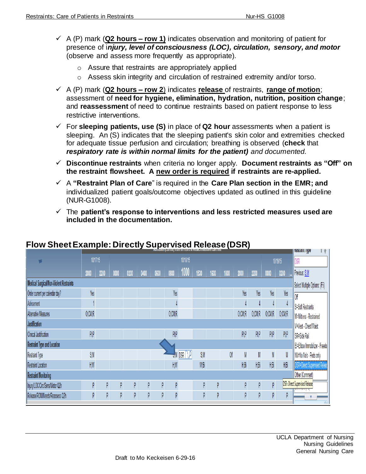- A (P) mark (**Q2 hours – row 1)** indicates observation and monitoring of patient for presence of i*njury, level of consciousness (LOC), circulation, sensory, and motor* (observe and assess more frequently as appropriate).
	- o Assure that restraints are appropriately applied
	- $\circ$  Assess skin integrity and circulation of restrained extremity and/or torso.
- A (P) mark (**Q2 hours – row 2**) indicates **release** of restraints, **range of motion**; assessment of **need for hygiene, elimination, hydration, nutrition, position change**; and **reassessment** of need to continue restraints based on patient response to less restrictive interventions.
- For **sleeping patients, use (S)** in place of **Q2 hour** assessments when a patient is sleeping. An (S) indicates that the sleeping patient's skin color and extremities checked for adequate tissue perfusion and circulation; breathing is observed (**check** that *respiratory rate is within normal limits for the patient) and documented.*
- **Discontinue restraints** when criteria no longer apply. **Document restraints as "Off" on the restraint flowsheet. A new order is required if restraints are re-applied.**
- A **"Restraint Plan of Care**" is required in the **Care Plan section in the EMR; and**  individualized patient goals/outcome objectives updated as outlined in this guideline (NUR-G1008).
- The **patient's response to interventions and less restricted measures used are included in the documentation.**

|                                                       | <b>AMINOSIVII (VULLVIII) HVIII IVEHTATU III MWING V INGHSHU GULU VIIII</b> |      |      |      |                               |      |                               |          |      | <b>INESUAIIII TYPE</b> |      |        |          |                                                                                                            |                            |                                                        |
|-------------------------------------------------------|----------------------------------------------------------------------------|------|------|------|-------------------------------|------|-------------------------------|----------|------|------------------------|------|--------|----------|------------------------------------------------------------------------------------------------------------|----------------------------|--------------------------------------------------------|
| $\blacksquare$                                        | 10/17/15                                                                   |      |      |      |                               |      |                               | 10/18/15 |      |                        |      |        |          |                                                                                                            | 10/19/15                   |                                                        |
|                                                       | 2000                                                                       | 2200 | 0000 | 0200 | 0400                          | 0600 | 0800                          | 1000     | 1530 | 1600                   | 1800 | 2000   | 2200     | 0000                                                                                                       | 0200                       | Previous: S:M                                          |
| <b>Medical Surgical/Non-Violent Restraints</b>        |                                                                            |      |      |      |                               |      | Select Multiple Options: (F5) |          |      |                        |      |        |          |                                                                                                            |                            |                                                        |
| Order current per calendar day?                       | Yes                                                                        |      |      |      |                               |      | Yes                           |          |      |                        |      | Yes    | Yes      | Yes                                                                                                        | Yes                        | <sup>0f</sup>                                          |
| Advisement                                            |                                                                            |      |      |      |                               |      |                               |          |      |                        |      |        |          |                                                                                                            |                            | S=Soft Restraints                                      |
| Alternative Measures                                  | 0;CM;R                                                                     |      |      |      |                               |      | 0;CM;R                        |          |      |                        |      | O;CM;R | O;CM;R   | O;CM;R                                                                                                     | 0;CM;R                     | M=Mittens - Restrained                                 |
| Justification                                         |                                                                            |      |      |      |                               |      |                               |          |      |                        |      |        |          |                                                                                                            |                            | V=Vest - Chest/Waist                                   |
| Clinical Justification                                | PlP                                                                        |      |      |      |                               |      | PlP                           |          |      |                        |      | PlP    | PlP      | PI;P                                                                                                       | PlP                        | SR=Side Rail                                           |
| Restraint Type and Location                           |                                                                            |      |      |      | EI=Elbow Immobilizer - Freedo |      |                               |          |      |                        |      |        |          |                                                                                                            |                            |                                                        |
| Restraint Type                                        | S;M                                                                        |      |      |      |                               |      |                               | DSR      | S;M  |                        | Off  | M      | M        | $\mathsf{M}% _{T}=\mathsf{M}_{T}\!\left( a,b\right) ,\ \mathsf{M}_{T}=\mathsf{M}_{T}\!\left( a,b\right) ,$ | M                          | NN=No-No's - Peds only                                 |
| Restraint Location                                    | H;W                                                                        |      |      |      |                               |      | $H_1^*W$                      |          | W:Bi |                        |      | H;Bi   | $H_1B_1$ | H;Bi                                                                                                       | $H_1^{\prime}B_1^{\prime}$ | <b>DSR=Direct Supervised Relea</b>                     |
| <b>Other (Comment)</b><br><b>Restraint Monitoring</b> |                                                                            |      |      |      |                               |      |                               |          |      |                        |      |        |          |                                                                                                            |                            |                                                        |
| Injury/LOC/Circ/Sens/Motor Q2h                        | p                                                                          | P    | p    | р    | P                             | p    | D                             |          | D    | p                      |      | D      | p        | P                                                                                                          |                            | DSR=Direct Supervised Release<br><u>in il umunitat</u> |
| Release/ROM/Needs/Reassess Q2h                        | P                                                                          | P    | P    | p    | P                             | P    | D                             |          | p    | P                      |      | P      | P        | P                                                                                                          | P                          | ۸I                                                     |

# **Flow Sheet Example: Directly Supervised Release (DSR)**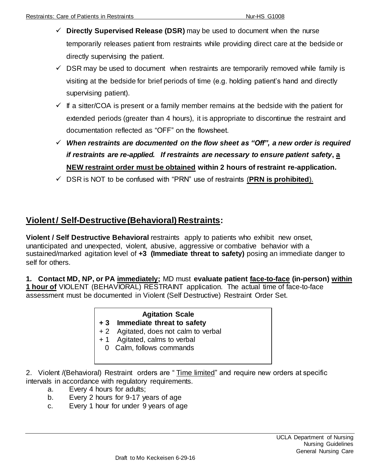- **Directly Supervised Release (DSR)** may be used to document when the nurse temporarily releases patient from restraints while providing direct care at the bedside or directly supervising the patient.
- $\checkmark$  DSR may be used to document when restraints are temporarily removed while family is visiting at the bedside for brief periods of time (e.g. holding patient's hand and directly supervising patient).
- $\checkmark$  If a sitter/COA is present or a family member remains at the bedside with the patient for extended periods (greater than 4 hours), it is appropriate to discontinue the restraint and documentation reflected as "OFF" on the flowsheet.
- *When restraints are documented on the flow sheet as "Off", a new order is required if restraints are re-applied. If restraints are necessary to ensure patient safety***, a NEW restraint order must be obtained within 2 hours of restraint re-application.**
- DSR is NOT to be confused with "PRN" use of restraints (**PRN is prohibited**).

# **Violent / Self-Destructive (Behavioral) Restraints:**

**Violent / Self Destructive Behavioral** restraints apply to patients who exhibit new onset, unanticipated and unexpected, violent, abusive, aggressive or combative behavior with a sustained/marked agitation level of **+3 (Immediate threat to safety)** posing an immediate danger to self for others.

**1***.* **Contact MD, NP, or PA immediately;** MD must **evaluate patient face-to-face (in-person) within 1 hour of** VIOLENT (BEHAVIORAL) RESTRAINT application. The actual time of face-to-face assessment must be documented in Violent (Self Destructive) Restraint Order Set.

# **Agitation Scale**

### **+ 3 Immediate threat to safety**

- + 2 Agitated, does not calm to verbal
- + 1 Agitated, calms to verbal
	- 0 Calm, follows commands

2. Violent /(Behavioral) Restraint orders are " Time limited" and require new orders at specific intervals in accordance with regulatory requirements.

- a. Every 4 hours for adults;
- b. Every 2 hours for 9-17 years of age
- c. Every 1 hour for under 9 years of age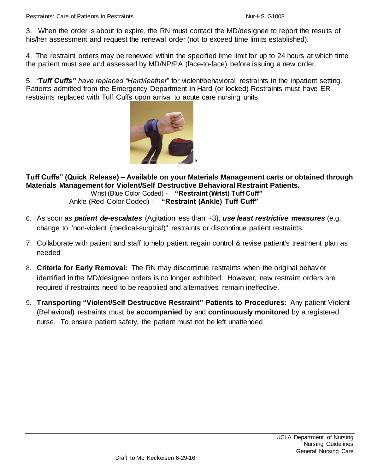3. When the order is about to expire, the RN must contact the MD/designee to report the results of his/her assessment and request the renewal order (not to exceed time limits established).

4. The restraint orders may be renewed within the specified time limit for up to 24 hours at which time the patient must see and assessed by MD/NP/PA (face-to-face) before issuing a new order.

5. *"Tuff Cuffs" have replaced "Hard/leather*" for violent/behavioral restraints in the inpatient setting. Patients admitted from the Emergency Department in Hard (or locked) Restraints must have ER restraints replaced with Tuff Cuffs upon arrival to acute care nursing units.



**Tuff Cuffs" (Quick Release) – Available on your Materials Management carts or obtained through Materials Management for Violent/Self Destructive Behavioral Restraint Patients.** Wrist (Blue Color Coded) - **"Restraint (Wrist) Tuff Cuff"** Ankle (Red Color Coded) - **"Restraint (Ankle) Tuff Cuff"**

- 6. As soon as *patient de-escalates* (Agitation less than +3), *use least restrictive measures* (e.g. change to "non-violent (medical-surgical)" restraints or discontinue patient restraints.
- 7. Collaborate with patient and staff to help patient regain control & revise patient's treatment plan as needed
- 8. **Criteria for Early Removal:** The RN may discontinue restraints when the original behavior identified in the MD/designee orders is no longer exhibited. However, new restraint orders are required if restraints need to be reapplied and alternatives remain ineffective.
- 9. **Transporting "Violent/Self Destructive Restraint" Patients to Procedures:** Any patient Violent (Behavioral) restraints must be **accompanied** by and **continuously monitored** by a registered nurse. To ensure patient safety, the patient must not be left unattended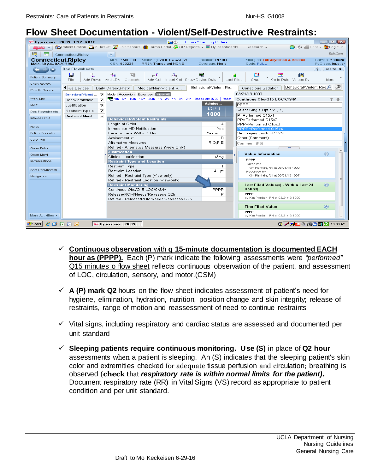# **Flow Sheet Documentation - Violent/Self-Destructive Restraints:**

|                                                  | <b>O*</b> Hyperspace - RR 8N - TPLY - KIM P. | 56                                                                                                       | <b>Future/Standing Orders</b>     |                                                               | $\Box$ $\Box$ $\Box$                    |  |  |  |  |  |  |
|--------------------------------------------------|----------------------------------------------|----------------------------------------------------------------------------------------------------------|-----------------------------------|---------------------------------------------------------------|-----------------------------------------|--|--|--|--|--|--|
| <b>Epic</b>                                      |                                              | Let Patient Station Elin Basket Munit Census Pri Forms Portal & OR Reports ↓ El My Dashboards            |                                   | Research +                                                    | <b>O</b> 乃 ● Print - Log Out            |  |  |  |  |  |  |
| 暍<br><b>Ball</b>                                 | <b>Connecticut, Ripley</b>                   | $\times$                                                                                                 |                                   |                                                               | EpicCare                                |  |  |  |  |  |  |
| Connecticut, Ripley<br>Male, 60 y.o., 02/20/1953 |                                              | MRN: 4500288 Attending: WHITECOAT, W<br>CSN: 623224<br><b>RR8N Transplant NONE</b>                       | Location: RR 8N<br>Coverage: None | Allergies: Tetracyclines & Related<br>Code: FULL              | Service: Medicine<br>Pt Class: Inpatier |  |  |  |  |  |  |
|                                                  | <b>Doc Flowsheets</b>                        |                                                                                                          |                                   |                                                               | 2<br>Resize $\div$                      |  |  |  |  |  |  |
| Patient Summary                                  | Я<br>₹<br>File                               | ₹€<br>量<br>$m^2$<br>n <sup>y</sup> n.<br>Add Col Insert Col Show Device Data<br>Add Rows Add LDA Cascade |                                   | 踩<br>儑<br>ार्ग<br>Graph<br>Go to Date Values By<br>Last Filed | More                                    |  |  |  |  |  |  |
| Chart Review<br>Results Review                   | <sup>●</sup> <i>live</i> Devices             | Medical/Non-Violent R<br>Daily Cares/Safety                                                              | Behavioral/Violent Re             | Behavioral/Violent Res<br><b>Conscious Sedation</b>           | ு                                       |  |  |  |  |  |  |
|                                                  | ☞<br>Behavioral/Violent                      | 03/21/13 1000<br>Mode: Accordion Expanded View All                                                       |                                   |                                                               |                                         |  |  |  |  |  |  |
| Work List                                        | $\overline{\mathbf{v}}$<br>Behavioral/Viole  | 1m 5m 10m 15m 30m 1h 2h 4h 8h 24h Based on: 0700 Reset                                                   |                                   | Continous Obs/Q15 LOC/C/S/M                                   | Գ -Ա                                    |  |  |  |  |  |  |
| <b>MAR</b>                                       | ⊽<br>Justification                           |                                                                                                          | Admissi                           | PPPP                                                          |                                         |  |  |  |  |  |  |
| <b>Doc Flowsheets</b>                            | Restraint Type a<br>⊽                        |                                                                                                          | 3/21/13                           | Select Single Option: (F5)                                    |                                         |  |  |  |  |  |  |
| Intake/Output                                    | Restraint Monit<br>⊽                         |                                                                                                          | 1000                              | P=Performed Q15x1                                             |                                         |  |  |  |  |  |  |
|                                                  |                                              | <b>Behavioral/Violent Restraints</b>                                                                     |                                   | PP=Performed Q15x2                                            |                                         |  |  |  |  |  |  |
| <b>Notes</b>                                     |                                              | Length of Order<br>Immediate MD Notification                                                             | 4<br>Yes                          | PPP=Performed Q15x3<br>PPPP=Performed Q15x4                   |                                         |  |  |  |  |  |  |
| Patient Education                                |                                              | Face to Face Within 1 Hour                                                                               | S=Sleeping, with RR WNL           |                                                               |                                         |  |  |  |  |  |  |
|                                                  |                                              | Advisement x1                                                                                            | Yes wit<br>Ð                      | Other (Comment)                                               |                                         |  |  |  |  |  |  |
| Care Plan                                        |                                              | Alternative Measures                                                                                     | R/O; F; E                         | Comment (F6)                                                  |                                         |  |  |  |  |  |  |
| Order Entry                                      |                                              | Retired - Alternative Measures (View Only)                                                               |                                   |                                                               |                                         |  |  |  |  |  |  |
| Order Mgmt                                       |                                              | <b>Justification</b>                                                                                     |                                   | <b>Value Information</b>                                      | $\circledR$                             |  |  |  |  |  |  |
|                                                  |                                              | Clinical Justification                                                                                   | $+3Ag$                            | <b>PPPP</b>                                                   |                                         |  |  |  |  |  |  |
| Immunizations                                    |                                              | <b>Restraint Type and Location</b><br><b>Restraint Type</b>                                              | $\top$                            | Taken by:                                                     |                                         |  |  |  |  |  |  |
| Shift Documentati                                |                                              | <b>Restraint Location</b>                                                                                | $4 - pt$                          | Kim Plantain, RN at 03/21/13 1000<br>Recorded by:             |                                         |  |  |  |  |  |  |
| Navigators                                       |                                              | Retired - Restraint Type (View-only)                                                                     |                                   | Kim Plantain, RN at 03/21/13 1037                             |                                         |  |  |  |  |  |  |
|                                                  |                                              | Retired - Restraint Location (View-only)                                                                 |                                   |                                                               |                                         |  |  |  |  |  |  |
|                                                  |                                              | <b>Restraint Monitoring</b>                                                                              |                                   | Last Filed Value(s) - Within Last 24                          | ⊗                                       |  |  |  |  |  |  |
|                                                  |                                              | Continous Obs/Q15 LOC/C/S/M                                                                              | PPPP                              | Hour(s)                                                       |                                         |  |  |  |  |  |  |
|                                                  |                                              | Release/ROM/Needs/Reassess Q2h                                                                           | P                                 | <b>PPPP</b><br>by Kim Plantain, RN at 03/21/13 1000           |                                         |  |  |  |  |  |  |
|                                                  |                                              | Retired - Release/ROM/Needs/Reassess Q2h                                                                 |                                   |                                                               |                                         |  |  |  |  |  |  |
|                                                  |                                              |                                                                                                          |                                   | <b>First Filed Value</b>                                      | ⊗                                       |  |  |  |  |  |  |
| More Activities $\blacktriangleright$            |                                              |                                                                                                          |                                   | <b>PPPP</b><br>by Kim Plantain, RN at 03/21/13 1000           |                                         |  |  |  |  |  |  |
| d'Istarti                                        | $\bullet$ $\circ$ $\circ$ $\circ$            | A Hyperspace - RR 8N -                                                                                   |                                   | <b>2 / W20 5 05 2 10:38 AM</b>                                |                                         |  |  |  |  |  |  |

- **Continuous observation** with **q 15-minute documentation is documented EACH hour as (PPPP).** Each (P) mark indicate the following assessments were *"performed"* Q15 minutes o flow sheet reflects continuous observation of the patient, and assessment of LOC, circulation, sensory, and motor.(CSM)
- $\checkmark$  **A (P) mark Q2** hours on the flow sheet indicates assessment of patient's need for hygiene, elimination, hydration, nutrition, position change and skin integrity; release of restraints, range of motion and reassessment of need to continue restraints
- $\checkmark$  Vital signs, including respiratory and cardiac status are assessed and documented per unit standard
- **Sleeping patients require continuous monitoring. Use (S)** in place of **Q2 hour**  assessments when a patient is sleeping. An (S) indicates that the sleeping patient's skin color and extremities checked for adequate tissue perfusion and circulation; breathing is observed (**check** that *respiratory rate is within normal limits for the patient).* Document respiratory rate (RR) in Vital Signs (VS) record as appropriate to patient condition and per unit standard.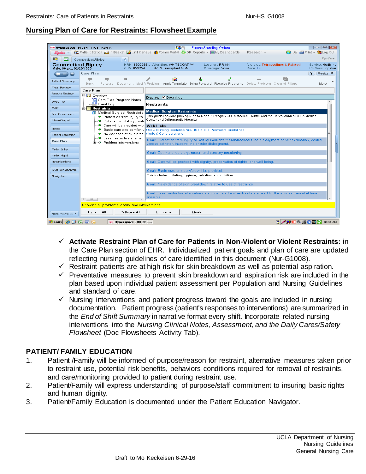#### **Nursing Plan of Care for Restraints: Flowsheet Example**

|                                                                                                                           | <b>De Hyperspace - RR 8N - TPLY - KIM P.</b>            |                                                             | 不会                                                                                                                                          |       | <b>Future/Standing Orders</b>     |                                                  |  | $\Box$ e x                              |  |
|---------------------------------------------------------------------------------------------------------------------------|---------------------------------------------------------|-------------------------------------------------------------|---------------------------------------------------------------------------------------------------------------------------------------------|-------|-----------------------------------|--------------------------------------------------|--|-----------------------------------------|--|
|                                                                                                                           |                                                         |                                                             | te Patient Station EIn Basket Munit Census rif Forms Portal SpOR Reports ↓ EIMy Dashboards                                                  |       |                                   | Research +                                       |  |                                         |  |
| 暍<br><b>Trad</b>                                                                                                          | <b>Connecticut.Riplev</b>                               | $\times$                                                    |                                                                                                                                             |       |                                   |                                                  |  | EpicCare                                |  |
| Connecticut, Ripley<br>Male, 60 y.o., 02/20/1953                                                                          |                                                         | CSN: 623224                                                 | MRN: 4500288 Attending: WHITECOAT, W<br><b>RR8N Transplant NONE</b>                                                                         |       | Location: RR 8N<br>Coverage: None | Allergies: Tetracyclines & Related<br>Code: FULL |  | Service: Medicine<br>Pt Class: Inpatier |  |
|                                                                                                                           | <b>Care Plan</b>                                        |                                                             |                                                                                                                                             |       |                                   |                                                  |  | ? Resize $\div$                         |  |
| Patient Summary                                                                                                           | $\Leftarrow$<br>$\Rightarrow$<br><b>Back</b><br>Forward | D                                                           | Document Modify Problem Apply Template Bring Forward Resolve Problems Delete Problem Clear All Filters                                      |       |                                   |                                                  |  | More                                    |  |
| Chart Review                                                                                                              | <b>Care Plan</b>                                        |                                                             |                                                                                                                                             |       |                                   |                                                  |  |                                         |  |
| Results Review                                                                                                            | 日 图 Overview                                            |                                                             | Display: V Description                                                                                                                      |       |                                   |                                                  |  |                                         |  |
| Work List                                                                                                                 | $E$ Event Log                                           | e Care Plan Progress Notes                                  | Restraints                                                                                                                                  |       |                                   |                                                  |  |                                         |  |
| MAR                                                                                                                       | <b>El Restraints</b>                                    | 白 图 Medical Surgical Restraints                             | <b>Medical Surgical Restraints</b>                                                                                                          |       |                                   |                                                  |  |                                         |  |
| Doc Flowsheets<br>Intake/Output                                                                                           |                                                         | ● Protection from injury to<br>· Optimal circulatory, moti- | This quideline/care plan applies to Ronald Reagan UCLA Medical Center and the Santa Monica UCLA Medical<br>Center and Orthopaedic Hospital. |       |                                   |                                                  |  |                                         |  |
| <b>Notes</b>                                                                                                              |                                                         | Care will be provided with                                  | <b>Web Links</b>                                                                                                                            |       |                                   |                                                  |  |                                         |  |
| <b>Patient Education</b>                                                                                                  |                                                         | Basic care and comfort<br>No evidence of skin brea          | UCLA Nursing Guideline Nur-HS G1008: Restraints Guidelines<br><b>Alerts &amp; Considerations</b>                                            |       |                                   |                                                  |  |                                         |  |
|                                                                                                                           |                                                         | Least restrictive alternati                                 | Goal: Protection from injury to self by inadvertent endotracheal tube dislodgment or self-extubation, central                               |       |                                   |                                                  |  |                                         |  |
| <b>Care Plan</b>                                                                                                          |                                                         | in O Problem Interventions                                  | venous catheter, invasive line or tube dislodgment.                                                                                         |       |                                   |                                                  |  |                                         |  |
| Order Entry<br>Order Mamt                                                                                                 |                                                         |                                                             | Goal: Optimal circulatory, motor, and sensory functioning                                                                                   |       |                                   |                                                  |  |                                         |  |
| Immunizations                                                                                                             |                                                         |                                                             | Goal: Care will be provided with dignity, preservation of rights, and well-being.                                                           |       |                                   |                                                  |  |                                         |  |
|                                                                                                                           |                                                         |                                                             |                                                                                                                                             |       |                                   |                                                  |  |                                         |  |
| Shift Documentati                                                                                                         |                                                         |                                                             | Goal: Basic care and comfort will be provided.                                                                                              |       |                                   |                                                  |  |                                         |  |
| Navigators                                                                                                                |                                                         |                                                             | This includes: toileting, hygiene, hydration, and nutrition.                                                                                |       |                                   |                                                  |  |                                         |  |
|                                                                                                                           |                                                         |                                                             | Goal: No evidence of skin breakdown relative to use of restraints.                                                                          |       |                                   |                                                  |  |                                         |  |
|                                                                                                                           |                                                         |                                                             | Goal: Least restrictive alternatives are considered and restraints are used for the shortest period of time                                 |       |                                   |                                                  |  |                                         |  |
|                                                                                                                           | $\leftarrow$<br>$-111$                                  |                                                             | possible.                                                                                                                                   |       |                                   |                                                  |  |                                         |  |
|                                                                                                                           | Showing all problems, goals, and interventions.         |                                                             |                                                                                                                                             |       |                                   |                                                  |  |                                         |  |
| More Activities $\blacktriangleright$                                                                                     | Expand All                                              | Collapse All                                                | Problems                                                                                                                                    | Goals |                                   |                                                  |  |                                         |  |
| <b>2 / 科四 8 6 5 2 10:41 AM</b><br>$e$ $\epsilon$ $\epsilon$ $\epsilon$<br>d <sup>e</sup> Start <br>A Hyperspace - RR 8N - |                                                         |                                                             |                                                                                                                                             |       |                                   |                                                  |  |                                         |  |

- **Activate Restraint Plan of Care for Patients in Non-Violent or Violent Restraints:** in the Care Plan section of EHR. Individualized patient goals and plan of care are updated reflecting nursing guidelines of care identified in this document (Nur-G1008).
- $\checkmark$  Restraint patients are at high risk for skin breakdown as well as potential aspiration.
- $\checkmark$  Preventative measures to prevent skin breakdown and aspiration risk are included in the plan based upon individual patient assessment per Population and Nursing Guidelines and standard of care.
- $\checkmark$  Nursing interventions and patient progress toward the goals are included in nursing documentation. Patient progress (patient's responses to interventions) are summarized in the *End of Shift Summary* in narrative format every shift. Incorporate related nursing interventions into the *Nursing Clinical Notes, Assessment, and the Daily Cares/Safety Flowsheet* (Doc Flowsheets Activity Tab).

#### **PATIENT/ FAMILY EDUCATION**

- 1. Patient /Family will be informed of purpose/reason for restraint, alternative measures taken prior to restraint use, potential risk benefits, behaviors conditions required for removal of restraints, and care/monitoring provided to patient during restraint use.
- 2. Patient/Family will express understanding of purpose/staff commitment to insuring basic rights and human dignity.
- 3. Patient/Family Education is documented under the Patient Education Navigator.